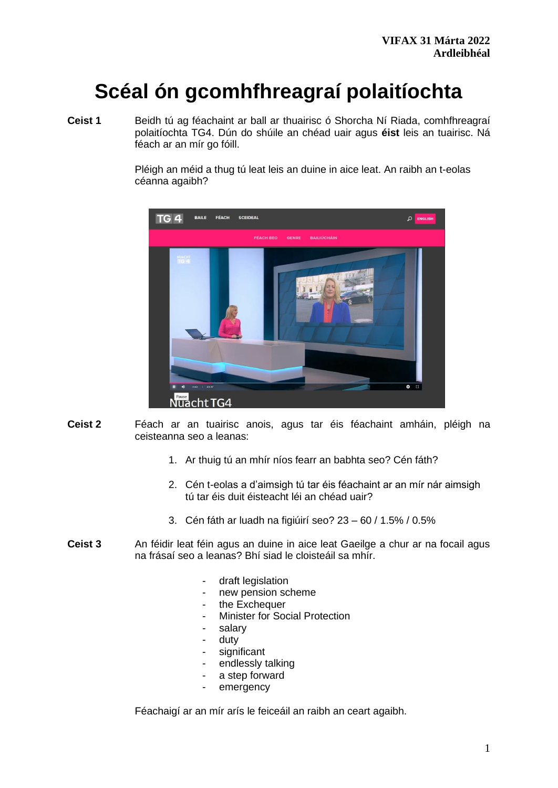# **Scéal ón gcomhfhreagraí polaitíochta**

**Ceist 1** Beidh tú ag féachaint ar ball ar thuairisc ó Shorcha Ní Riada, comhfhreagraí polaitíochta TG4. Dún do shúile an chéad uair agus **éist** leis an tuairisc. Ná féach ar an mír go fóill.

> Pléigh an méid a thug tú leat leis an duine in aice leat. An raibh an t-eolas céanna agaibh?



- **Ceist 2** Féach ar an tuairisc anois, agus tar éis féachaint amháin, pléigh na ceisteanna seo a leanas:
	- 1. Ar thuig tú an mhír níos fearr an babhta seo? Cén fáth?
	- 2. Cén t-eolas a d'aimsigh tú tar éis féachaint ar an mír nár aimsigh tú tar éis duit éisteacht léi an chéad uair?
	- 3. Cén fáth ar luadh na figiúirí seo? 23 60 / 1.5% / 0.5%
- **Ceist 3** An féidir leat féin agus an duine in aice leat Gaeilge a chur ar na focail agus na frásaí seo a leanas? Bhí siad le cloisteáil sa mhír.
	- draft legislation
	- new pension scheme
	- the Exchequer
	- Minister for Social Protection
	- salary
	- duty
	- significant
	- endlessly talking
	- a step forward
	- emergency

Féachaigí ar an mír arís le feiceáil an raibh an ceart agaibh.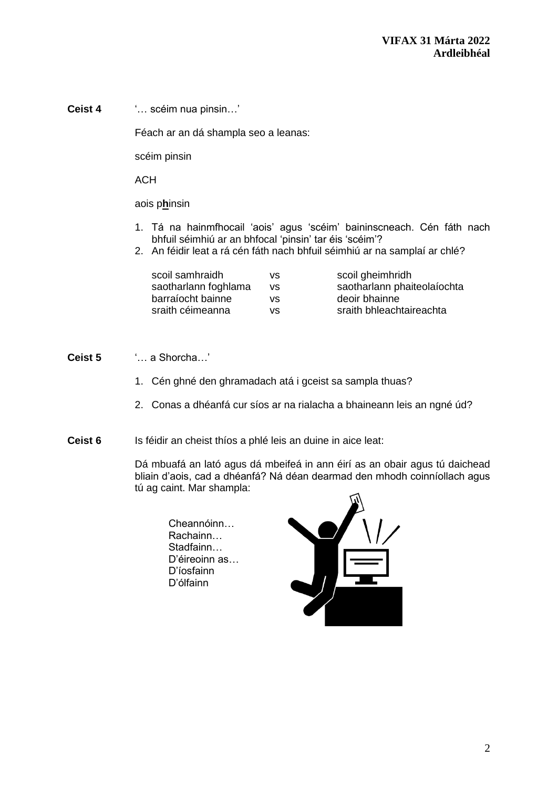**Ceist 4** '… scéim nua pinsin…'

Féach ar an dá shampla seo a leanas:

scéim pinsin

**ACH** 

aois p**h**insin

- 1. Tá na hainmfhocail 'aois' agus 'scéim' baininscneach. Cén fáth nach bhfuil séimhiú ar an bhfocal 'pinsin' tar éis 'scéim'?
- 2. An féidir leat a rá cén fáth nach bhfuil séimhiú ar na samplaí ar chlé?

| scoil samhraidh      | vs  | scoil gheimhridh            |
|----------------------|-----|-----------------------------|
| saotharlann foghlama | VS. | saotharlann phaiteolaíochta |
| barraíocht bainne    | vs  | deoir bhainne               |
| sraith céimeanna     | vs  | sraith bhleachtaireachta    |

#### **Ceist 5** '… a Shorcha…'

- 1. Cén ghné den ghramadach atá i gceist sa sampla thuas?
- 2. Conas a dhéanfá cur síos ar na rialacha a bhaineann leis an ngné úd?
- **Ceist 6** Is féidir an cheist thíos a phlé leis an duine in aice leat:

Dá mbuafá an lató agus dá mbeifeá in ann éirí as an obair agus tú daichead bliain d'aois, cad a dhéanfá? Ná déan dearmad den mhodh coinníollach agus tú ag caint. Mar shampla:

Cheannóinn… Rachainn… Stadfainn… D'éireoinn as… D'íosfainn D'ólfainn

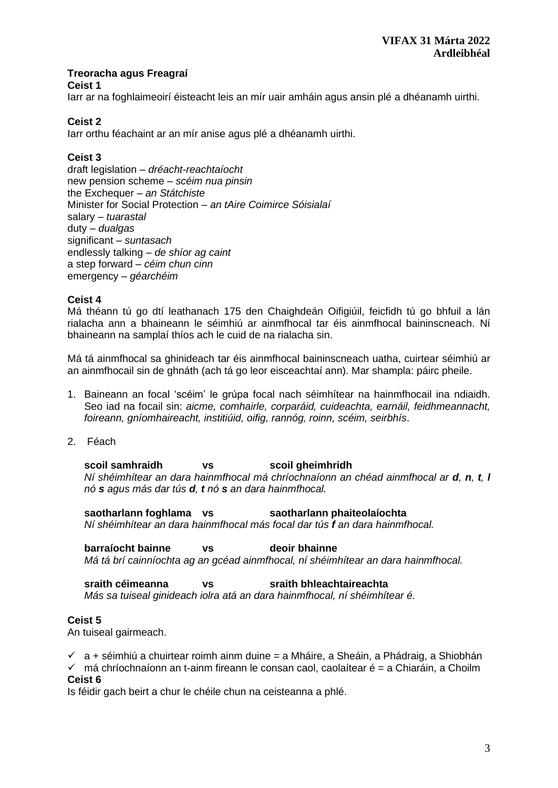## **Treoracha agus Freagraí**

#### **Ceist 1**

Iarr ar na foghlaimeoirí éisteacht leis an mír uair amháin agus ansin plé a dhéanamh uirthi.

# **Ceist 2**

Iarr orthu féachaint ar an mír anise agus plé a dhéanamh uirthi.

# **Ceist 3**

draft legislation – *dréacht-reachtaíocht*  new pension scheme – *scéim nua pinsin* the Exchequer – *an Státchiste* Minister for Social Protection – *an tAire Coimirce Sóisialaí* salary – *tuarastal*  duty – *dualgas* significant – *suntasach*  endlessly talking – *de shíor ag caint*  a step forward – *céim chun cinn*  emergency – *géarchéim* 

## **Ceist 4**

Má théann tú go dtí leathanach 175 den Chaighdeán Oifigiúil, feicfidh tú go bhfuil a lán rialacha ann a bhaineann le séimhiú ar ainmfhocal tar éis ainmfhocal baininscneach. Ní bhaineann na samplaí thíos ach le cuid de na rialacha sin.

Má tá ainmfhocal sa ghinideach tar éis ainmfhocal baininscneach uatha, cuirtear séimhiú ar an ainmfhocail sin de ghnáth (ach tá go leor eisceachtaí ann). Mar shampla: páirc pheile.

- 1. Baineann an focal 'scéim' le grúpa focal nach séimhítear na hainmfhocail ina ndiaidh. Seo iad na focail sin: *aicme, comhairle, corparáid, cuideachta, earnáil, feidhmeannacht, foireann, gníomhaireacht, institiúid, oifig, rannóg, roinn, scéim, seirbhís*.
- 2. Féach

**scoil samhraidh vs scoil gheimhridh** *Ní shéimhítear an dara hainmfhocal má chríochnaíonn an chéad ainmfhocal ar d, n, t, l nó s agus más dar tús d, t nó s an dara hainmfhocal.*

**saotharlann foghlama vs saotharlann phaiteolaíochta**  *Ní shéimhítear an dara hainmfhocal más focal dar tús f an dara hainmfhocal.*

**barraíocht bainne vs deoir bhainne** *Má tá brí cainníochta ag an gcéad ainmfhocal, ní shéimhítear an dara hainmfhocal.*

#### **sraith céimeanna vs sraith bhleachtaireachta**

*Más sa tuiseal ginideach iolra atá an dara hainmfhocal, ní shéimhítear é.* 

## **Ceist 5**

An tuiseal gairmeach.

 $\checkmark$  a + séimhiú a chuirtear roimh ainm duine = a Mháire, a Sheáin, a Phádraig, a Shiobhán

 $\checkmark$  má chríochnaíonn an t-ainm fireann le consan caol, caolaítear é = a Chiaráin, a Choilm **Ceist 6**

Is féidir gach beirt a chur le chéile chun na ceisteanna a phlé.